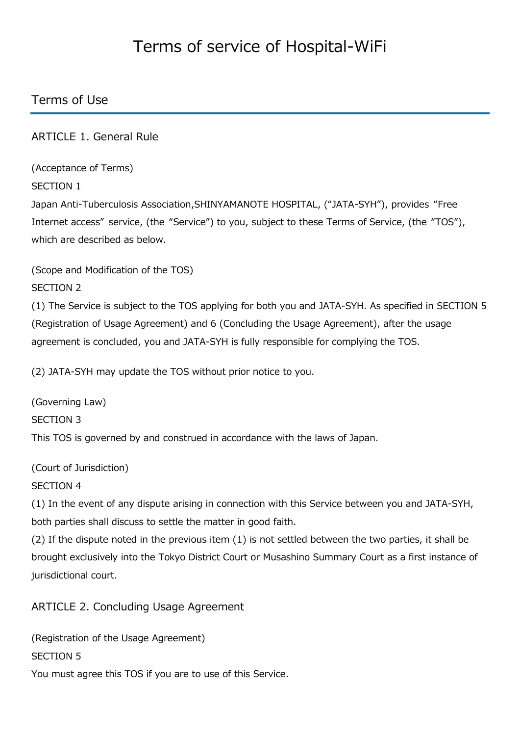# Terms of service of Hospital-WiFi

# Terms of Use

ARTICLE 1. General Rule

(Acceptance of Terms)

SECTION 1

Japan Anti-Tuberculosis Association,SHINYAMANOTE HOSPITAL, ("JATA-SYH"), provides "Free Internet access" service, (the "Service") to you, subject to these Terms of Service, (the "TOS"), which are described as below.

(Scope and Modification of the TOS)

SECTION 2

(1) The Service is subject to the TOS applying for both you and JATA-SYH. As specified in SECTION 5 (Registration of Usage Agreement) and 6 (Concluding the Usage Agreement), after the usage agreement is concluded, you and JATA-SYH is fully responsible for complying the TOS.

(2) JATA-SYH may update the TOS without prior notice to you.

(Governing Law) SECTION 3 This TOS is governed by and construed in accordance with the laws of Japan.

(Court of Jurisdiction)

SECTION 4

(1) In the event of any dispute arising in connection with this Service between you and JATA-SYH, both parties shall discuss to settle the matter in good faith.

(2) If the dispute noted in the previous item (1) is not settled between the two parties, it shall be brought exclusively into the Tokyo District Court or Musashino Summary Court as a first instance of jurisdictional court.

ARTICLE 2. Concluding Usage Agreement

(Registration of the Usage Agreement) SECTION 5 You must agree this TOS if you are to use of this Service.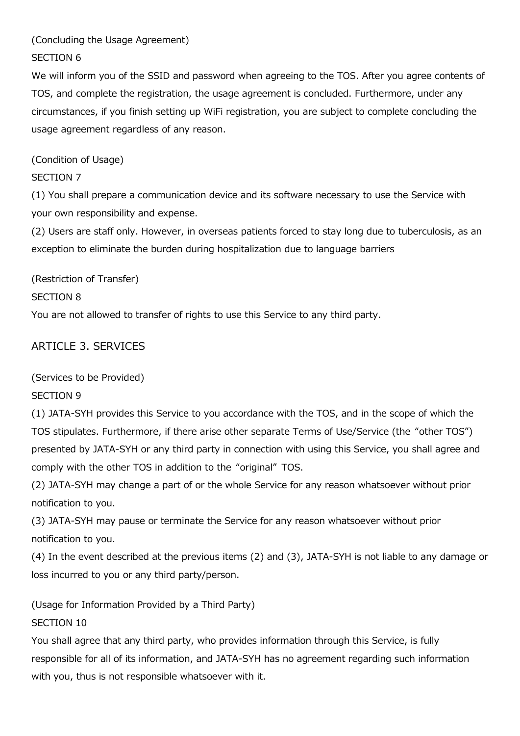#### (Concluding the Usage Agreement)

#### SECTION 6

We will inform you of the SSID and password when agreeing to the TOS. After you agree contents of TOS, and complete the registration, the usage agreement is concluded. Furthermore, under any circumstances, if you finish setting up WiFi registration, you are subject to complete concluding the usage agreement regardless of any reason.

(Condition of Usage)

#### SECTION 7

(1) You shall prepare a communication device and its software necessary to use the Service with your own responsibility and expense.

(2) Users are staff only. However, in overseas patients forced to stay long due to tuberculosis, as an exception to eliminate the burden during hospitalization due to language barriers

(Restriction of Transfer)

#### SECTION 8

You are not allowed to transfer of rights to use this Service to any third party.

## ARTICLE 3. SERVICES

(Services to be Provided)

#### SECTION 9

(1) JATA-SYH provides this Service to you accordance with the TOS, and in the scope of which the TOS stipulates. Furthermore, if there arise other separate Terms of Use/Service (the "other TOS") presented by JATA-SYH or any third party in connection with using this Service, you shall agree and comply with the other TOS in addition to the "original" TOS.

(2) JATA-SYH may change a part of or the whole Service for any reason whatsoever without prior notification to you.

(3) JATA-SYH may pause or terminate the Service for any reason whatsoever without prior notification to you.

(4) In the event described at the previous items (2) and (3), JATA-SYH is not liable to any damage or loss incurred to you or any third party/person.

(Usage for Information Provided by a Third Party) SECTION 10

You shall agree that any third party, who provides information through this Service, is fully responsible for all of its information, and JATA-SYH has no agreement regarding such information with you, thus is not responsible whatsoever with it.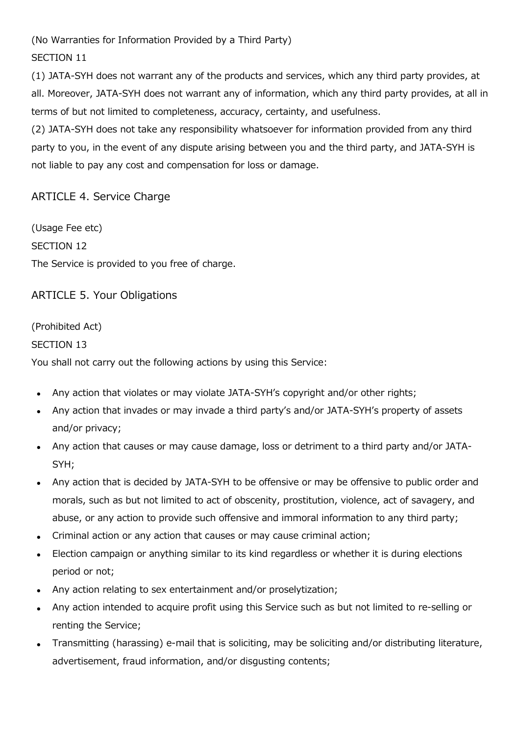(No Warranties for Information Provided by a Third Party)

## SECTION 11

(1) JATA-SYH does not warrant any of the products and services, which any third party provides, at all. Moreover, JATA-SYH does not warrant any of information, which any third party provides, at all in terms of but not limited to completeness, accuracy, certainty, and usefulness.

(2) JATA-SYH does not take any responsibility whatsoever for information provided from any third party to you, in the event of any dispute arising between you and the third party, and JATA-SYH is not liable to pay any cost and compensation for loss or damage.

## ARTICLE 4. Service Charge

(Usage Fee etc) SECTION 12 The Service is provided to you free of charge.

ARTICLE 5. Your Obligations

(Prohibited Act) SECTION 13 You shall not carry out the following actions by using this Service:

- Any action that violates or may violate JATA-SYH's copyright and/or other rights;
- Any action that invades or may invade a third party's and/or JATA-SYH's property of assets and/or privacy;
- Any action that causes or may cause damage, loss or detriment to a third party and/or JATA-SYH;
- Any action that is decided by JATA-SYH to be offensive or may be offensive to public order and morals, such as but not limited to act of obscenity, prostitution, violence, act of savagery, and abuse, or any action to provide such offensive and immoral information to any third party;
- Criminal action or any action that causes or may cause criminal action;
- Election campaign or anything similar to its kind regardless or whether it is during elections period or not;
- Any action relating to sex entertainment and/or proselytization;
- Any action intended to acquire profit using this Service such as but not limited to re-selling or renting the Service;
- Transmitting (harassing) e-mail that is soliciting, may be soliciting and/or distributing literature, advertisement, fraud information, and/or disgusting contents;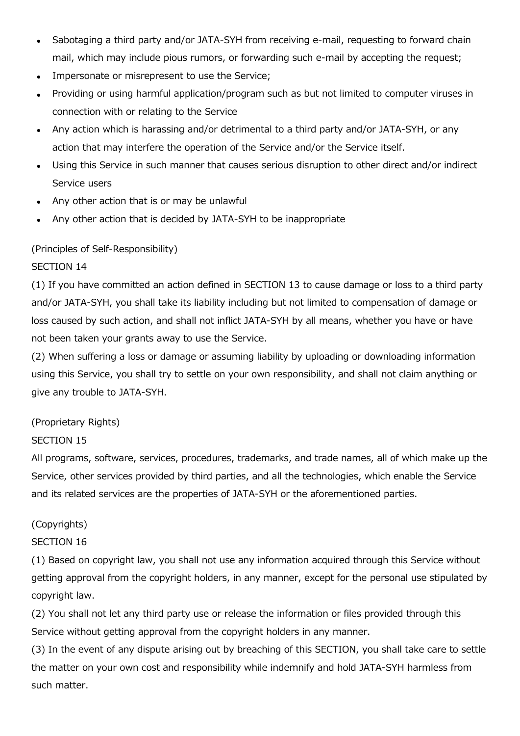- Sabotaging a third party and/or JATA-SYH from receiving e-mail, requesting to forward chain mail, which may include pious rumors, or forwarding such e-mail by accepting the request;
- Impersonate or misrepresent to use the Service;
- Providing or using harmful application/program such as but not limited to computer viruses in connection with or relating to the Service
- Any action which is harassing and/or detrimental to a third party and/or JATA-SYH, or any action that may interfere the operation of the Service and/or the Service itself.
- Using this Service in such manner that causes serious disruption to other direct and/or indirect Service users
- Any other action that is or may be unlawful
- Any other action that is decided by JATA-SYH to be inappropriate

#### (Principles of Self-Responsibility)

#### SECTION 14

(1) If you have committed an action defined in SECTION 13 to cause damage or loss to a third party and/or JATA-SYH, you shall take its liability including but not limited to compensation of damage or loss caused by such action, and shall not inflict JATA-SYH by all means, whether you have or have not been taken your grants away to use the Service.

(2) When suffering a loss or damage or assuming liability by uploading or downloading information using this Service, you shall try to settle on your own responsibility, and shall not claim anything or give any trouble to JATA-SYH.

#### (Proprietary Rights)

#### SECTION 15

All programs, software, services, procedures, trademarks, and trade names, all of which make up the Service, other services provided by third parties, and all the technologies, which enable the Service and its related services are the properties of JATA-SYH or the aforementioned parties.

## (Copyrights)

## SECTION 16

(1) Based on copyright law, you shall not use any information acquired through this Service without getting approval from the copyright holders, in any manner, except for the personal use stipulated by copyright law.

(2) You shall not let any third party use or release the information or files provided through this Service without getting approval from the copyright holders in any manner.

(3) In the event of any dispute arising out by breaching of this SECTION, you shall take care to settle the matter on your own cost and responsibility while indemnify and hold JATA-SYH harmless from such matter.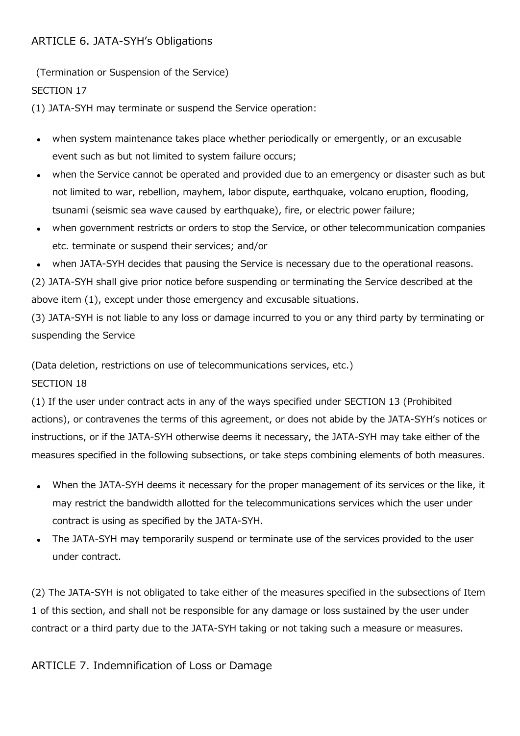# ARTICLE 6. JATA-SYH's Obligations

(Termination or Suspension of the Service)

SECTION 17

(1) JATA-SYH may terminate or suspend the Service operation:

- when system maintenance takes place whether periodically or emergently, or an excusable event such as but not limited to system failure occurs;
- when the Service cannot be operated and provided due to an emergency or disaster such as but not limited to war, rebellion, mayhem, labor dispute, earthquake, volcano eruption, flooding, tsunami (seismic sea wave caused by earthquake), fire, or electric power failure;
- when government restricts or orders to stop the Service, or other telecommunication companies etc. terminate or suspend their services; and/or
- when JATA-SYH decides that pausing the Service is necessary due to the operational reasons.

(2) JATA-SYH shall give prior notice before suspending or terminating the Service described at the above item (1), except under those emergency and excusable situations.

(3) JATA-SYH is not liable to any loss or damage incurred to you or any third party by terminating or suspending the Service

(Data deletion, restrictions on use of telecommunications services, etc.)

# SECTION 18

(1) If the user under contract acts in any of the ways specified under SECTION 13 (Prohibited actions), or contravenes the terms of this agreement, or does not abide by the JATA-SYH's notices or instructions, or if the JATA-SYH otherwise deems it necessary, the JATA-SYH may take either of the measures specified in the following subsections, or take steps combining elements of both measures.

- When the JATA-SYH deems it necessary for the proper management of its services or the like, it may restrict the bandwidth allotted for the telecommunications services which the user under contract is using as specified by the JATA-SYH.
- The JATA-SYH may temporarily suspend or terminate use of the services provided to the user under contract.

(2) The JATA-SYH is not obligated to take either of the measures specified in the subsections of Item 1 of this section, and shall not be responsible for any damage or loss sustained by the user under contract or a third party due to the JATA-SYH taking or not taking such a measure or measures.

ARTICLE 7. Indemnification of Loss or Damage